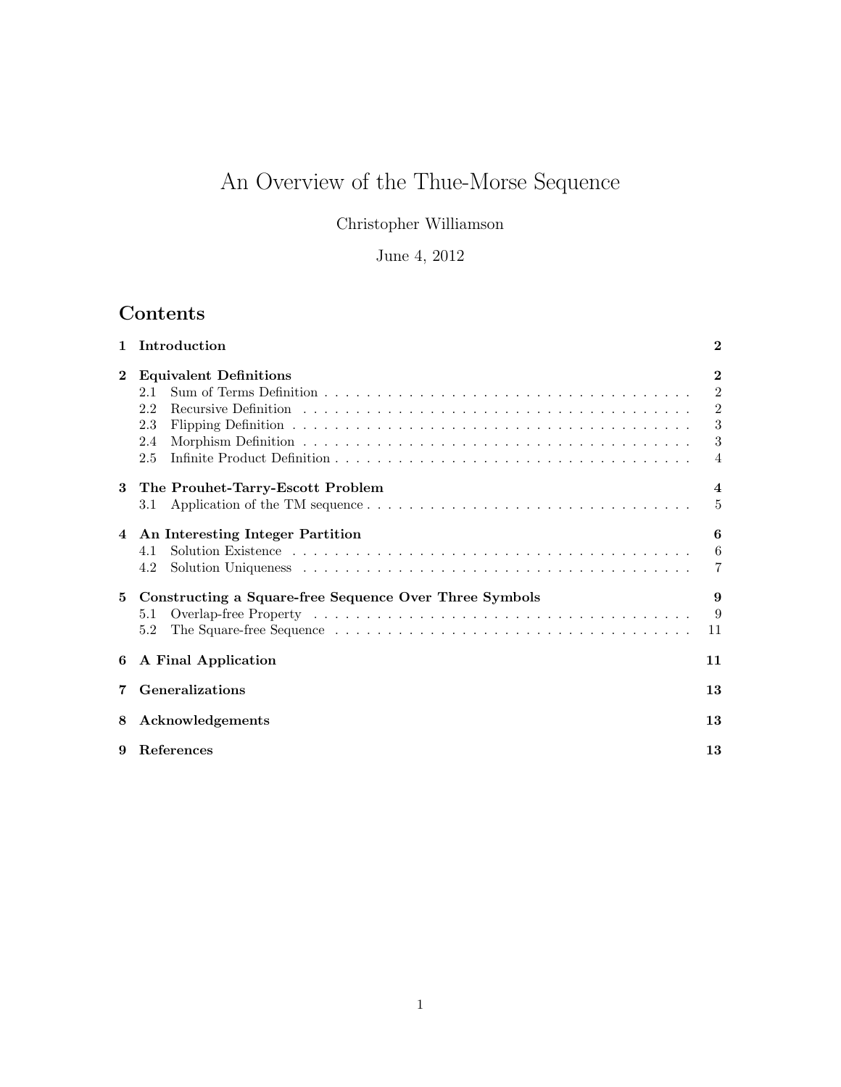# An Overview of the Thue-Morse Sequence

Christopher Williamson

## June 4, 2012

## Contents

|          | Introduction                                                         | $\bf{2}$                                                        |
|----------|----------------------------------------------------------------------|-----------------------------------------------------------------|
| $\bf{2}$ | <b>Equivalent Definitions</b><br>2.1<br>2.2<br>2.3<br>2.4<br>2.5     | $\mathbf{2}$<br>2<br>$\overline{2}$<br>3<br>3<br>$\overline{4}$ |
| 3        | The Prouhet-Tarry-Escott Problem<br>3.1                              | 4<br>$\frac{5}{2}$                                              |
|          | 4 An Interesting Integer Partition<br>4.1<br>4.2                     | 6<br>6<br>7                                                     |
| 5.       | Constructing a Square-free Sequence Over Three Symbols<br>5.1<br>5.2 | 9<br>9<br>11                                                    |
| 6        | A Final Application                                                  | 11                                                              |
|          | <b>Generalizations</b>                                               | 13                                                              |
| 8        | Acknowledgements                                                     | 13                                                              |
| 9        | References                                                           | 13                                                              |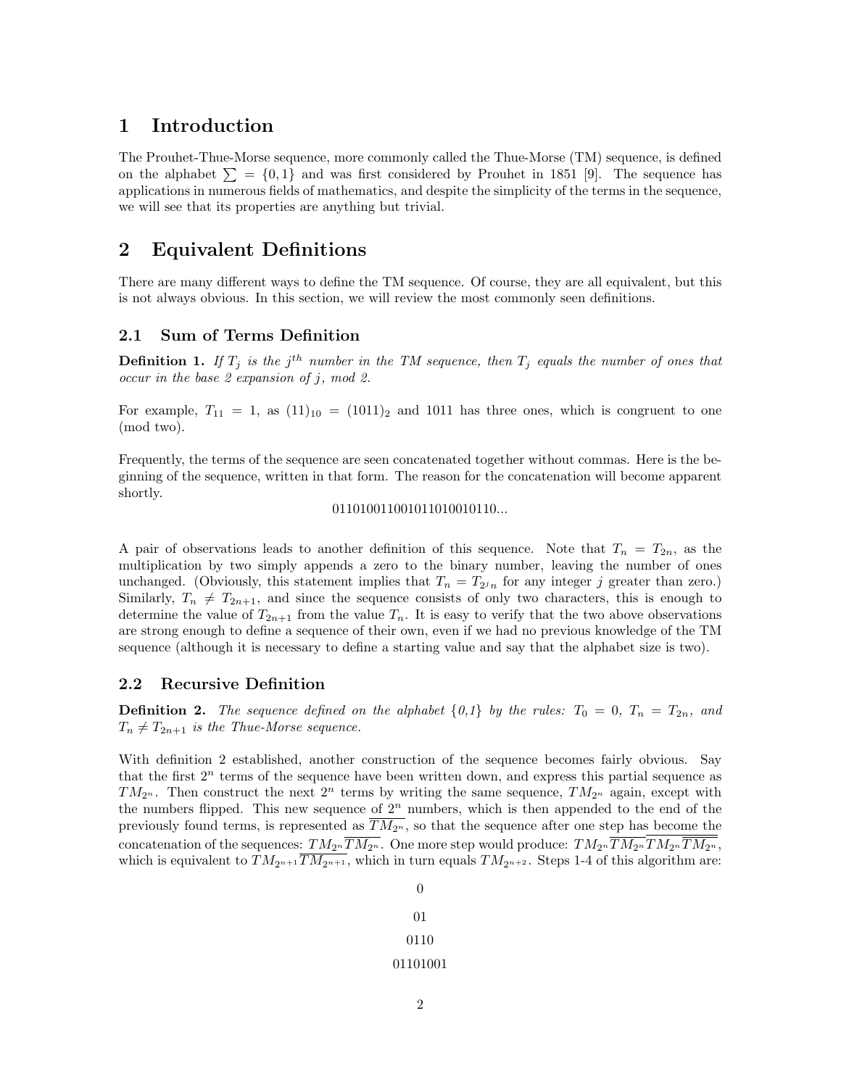## 1 Introduction

The Prouhet-Thue-Morse sequence, more commonly called the Thue-Morse (TM) sequence, is defined on the alphabet  $\Sigma = \{0, 1\}$  and was first considered by Prouhet in 1851 [9]. The sequence has applications in numerous fields of mathematics, and despite the simplicity of the terms in the sequence, we will see that its properties are anything but trivial.

## 2 Equivalent Definitions

There are many different ways to define the TM sequence. Of course, they are all equivalent, but this is not always obvious. In this section, we will review the most commonly seen definitions.

### 2.1 Sum of Terms Definition

**Definition 1.** If  $T_j$  is the j<sup>th</sup> number in the TM sequence, then  $T_j$  equals the number of ones that occur in the base  $2$  expansion of j, mod  $2$ .

For example,  $T_{11} = 1$ , as  $(11)_{10} = (1011)_2$  and 1011 has three ones, which is congruent to one (mod two).

Frequently, the terms of the sequence are seen concatenated together without commas. Here is the beginning of the sequence, written in that form. The reason for the concatenation will become apparent shortly.

#### 011010011001011010010110...

A pair of observations leads to another definition of this sequence. Note that  $T_n = T_{2n}$ , as the multiplication by two simply appends a zero to the binary number, leaving the number of ones unchanged. (Obviously, this statement implies that  $T_n = T_{2^n n}$  for any integer j greater than zero.) Similarly,  $T_n \neq T_{2n+1}$ , and since the sequence consists of only two characters, this is enough to determine the value of  $T_{2n+1}$  from the value  $T_n$ . It is easy to verify that the two above observations are strong enough to define a sequence of their own, even if we had no previous knowledge of the TM sequence (although it is necessary to define a starting value and say that the alphabet size is two).

#### 2.2 Recursive Definition

**Definition 2.** The sequence defined on the alphabet  $\{0,1\}$  by the rules:  $T_0 = 0$ ,  $T_n = T_{2n}$ , and  $T_n \neq T_{2n+1}$  is the Thue-Morse sequence.

With definition 2 established, another construction of the sequence becomes fairly obvious. Say that the first  $2<sup>n</sup>$  terms of the sequence have been written down, and express this partial sequence as  $TM_{2^n}$ . Then construct the next  $2^n$  terms by writing the same sequence,  $TM_{2^n}$  again, except with the numbers flipped. This new sequence of  $2^n$  numbers, which is then appended to the end of the previously found terms, is represented as  $\overline{TM_{2^n}}$ , so that the sequence after one step has become the concatenation of the sequences:  $TM_{2^n}\overline{TM_{2^n}}$ . One more step would produce:  $TM_{2^n}\overline{TM_{2^n}}TM_{2^n}\overline{TM_{2^n}}$ , which is equivalent to  $TM_{2n+1} \overline{TM_{2n+1}}$ , which in turn equals  $TM_{2n+2}$ . Steps 1-4 of this algorithm are: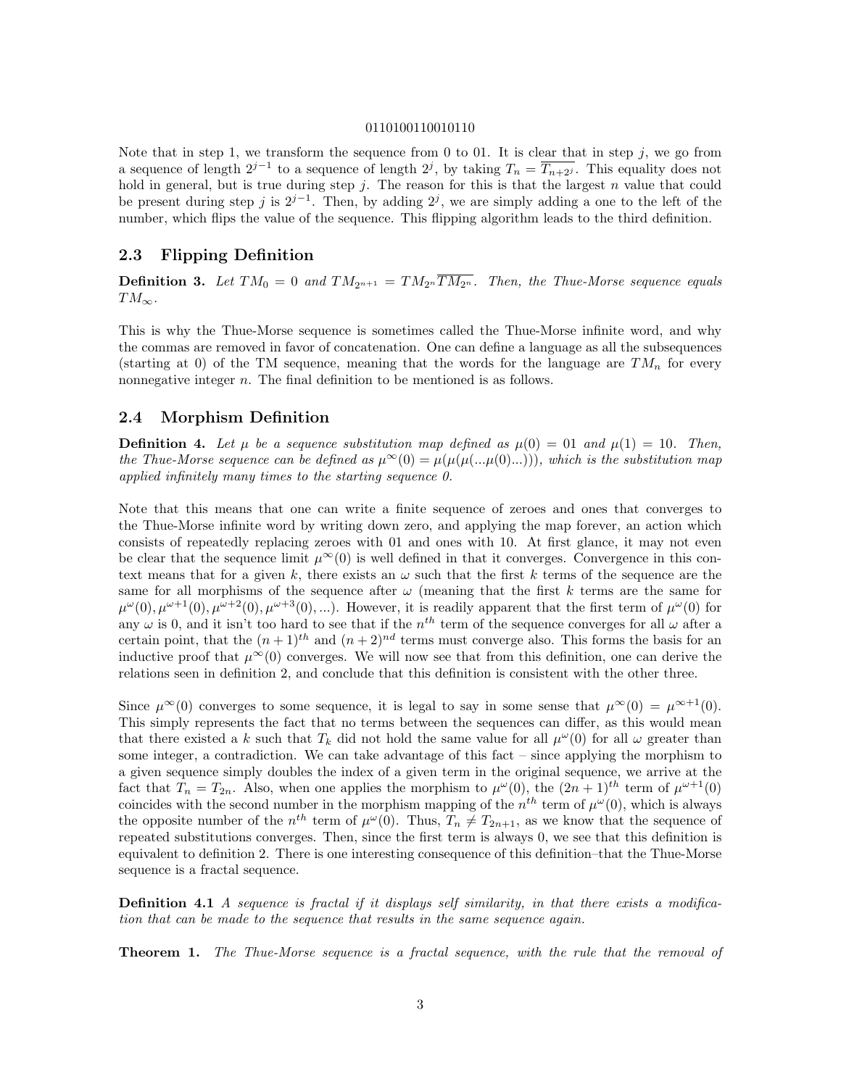#### 0110100110010110

Note that in step 1, we transform the sequence from 0 to 01. It is clear that in step j, we go from a sequence of length  $2^{j-1}$  to a sequence of length  $2^j$ , by taking  $T_n = \overline{T_{n+2^j}}$ . This equality does not hold in general, but is true during step  $j$ . The reason for this is that the largest  $n$  value that could be present during step j is  $2^{j-1}$ . Then, by adding  $2^j$ , we are simply adding a one to the left of the number, which flips the value of the sequence. This flipping algorithm leads to the third definition.

#### 2.3 Flipping Definition

**Definition 3.** Let  $TM_0 = 0$  and  $TM_{2^{n+1}} = TM_{2^n}\overline{TM_{2^n}}$ . Then, the Thue-Morse sequence equals  $TM_{\infty}$ .

This is why the Thue-Morse sequence is sometimes called the Thue-Morse infinite word, and why the commas are removed in favor of concatenation. One can define a language as all the subsequences (starting at 0) of the TM sequence, meaning that the words for the language are  $TM_n$  for every nonnegative integer *n*. The final definition to be mentioned is as follows.

#### 2.4 Morphism Definition

**Definition 4.** Let  $\mu$  be a sequence substitution map defined as  $\mu(0) = 01$  and  $\mu(1) = 10$ . Then, the Thue-Morse sequence can be defined as  $\mu^{\infty}(0) = \mu(\mu(\mu(\ldots \mu(0) \ldots)))$ , which is the substitution map applied infinitely many times to the starting sequence 0.

Note that this means that one can write a finite sequence of zeroes and ones that converges to the Thue-Morse infinite word by writing down zero, and applying the map forever, an action which consists of repeatedly replacing zeroes with 01 and ones with 10. At first glance, it may not even be clear that the sequence limit  $\mu^{\infty}(0)$  is well defined in that it converges. Convergence in this context means that for a given k, there exists an  $\omega$  such that the first k terms of the sequence are the same for all morphisms of the sequence after  $\omega$  (meaning that the first k terms are the same for  $\mu^{\omega}(0), \mu^{\omega+1}(0), \mu^{\omega+2}(0), \mu^{\omega+3}(0), \ldots$ . However, it is readily apparent that the first term of  $\mu^{\omega}(0)$  for any  $\omega$  is 0, and it isn't too hard to see that if the  $n^{th}$  term of the sequence converges for all  $\omega$  after a certain point, that the  $(n+1)^{th}$  and  $(n+2)^{nd}$  terms must converge also. This forms the basis for an inductive proof that  $\mu^{\infty}(0)$  converges. We will now see that from this definition, one can derive the relations seen in definition 2, and conclude that this definition is consistent with the other three.

Since  $\mu^{\infty}(0)$  converges to some sequence, it is legal to say in some sense that  $\mu^{\infty}(0) = \mu^{\infty+1}(0)$ . This simply represents the fact that no terms between the sequences can differ, as this would mean that there existed a k such that  $T_k$  did not hold the same value for all  $\mu^{\omega}(0)$  for all  $\omega$  greater than some integer, a contradiction. We can take advantage of this fact – since applying the morphism to a given sequence simply doubles the index of a given term in the original sequence, we arrive at the fact that  $T_n = T_{2n}$ . Also, when one applies the morphism to  $\mu^{\omega}(0)$ , the  $(2n+1)^{th}$  term of  $\mu^{\omega+1}(0)$ coincides with the second number in the morphism mapping of the  $n^{th}$  term of  $\mu^{\omega}(0)$ , which is always the opposite number of the  $n^{th}$  term of  $\mu^{\omega}(0)$ . Thus,  $T_n \neq T_{2n+1}$ , as we know that the sequence of repeated substitutions converges. Then, since the first term is always 0, we see that this definition is equivalent to definition 2. There is one interesting consequence of this definition–that the Thue-Morse sequence is a fractal sequence.

**Definition 4.1** A sequence is fractal if it displays self similarity, in that there exists a modification that can be made to the sequence that results in the same sequence again.

Theorem 1. The Thue-Morse sequence is a fractal sequence, with the rule that the removal of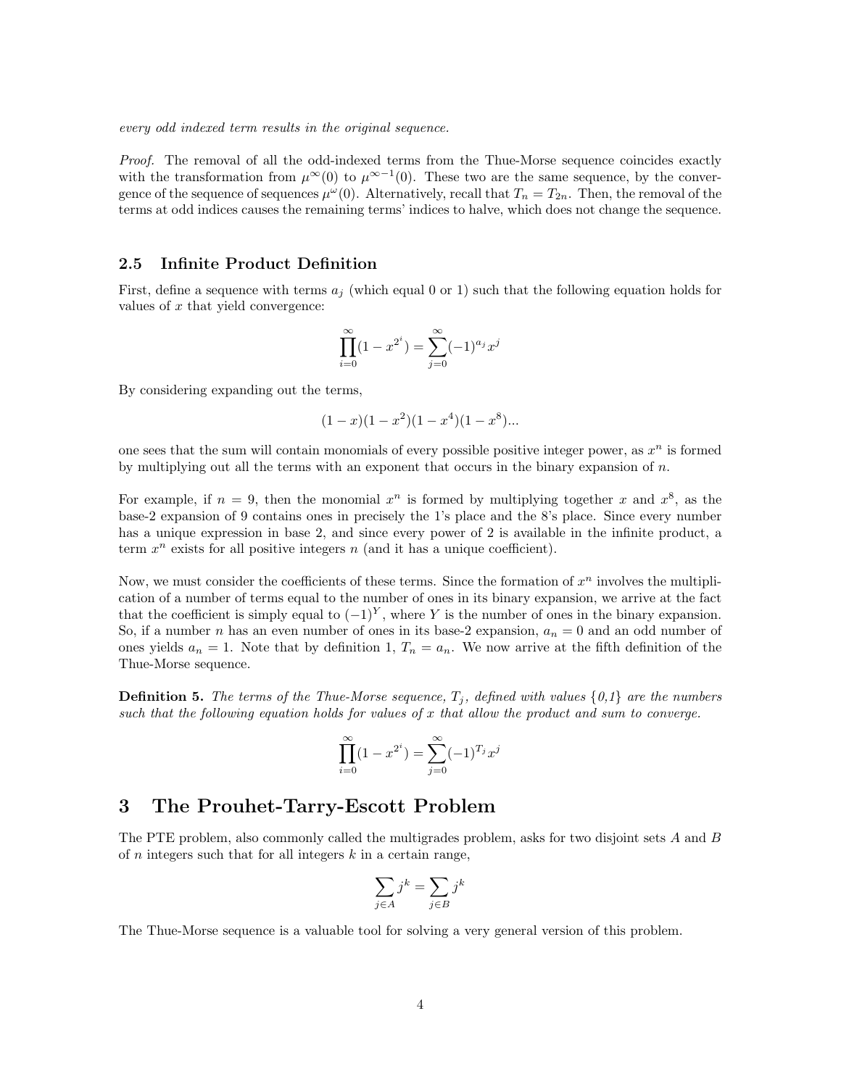every odd indexed term results in the original sequence.

Proof. The removal of all the odd-indexed terms from the Thue-Morse sequence coincides exactly with the transformation from  $\mu^{\infty}(0)$  to  $\mu^{\infty-1}(0)$ . These two are the same sequence, by the convergence of the sequence of sequences  $\mu^{\omega}(0)$ . Alternatively, recall that  $T_n = T_{2n}$ . Then, the removal of the terms at odd indices causes the remaining terms' indices to halve, which does not change the sequence.

#### 2.5 Infinite Product Definition

First, define a sequence with terms  $a_i$  (which equal 0 or 1) such that the following equation holds for values of  $x$  that yield convergence:

$$
\prod_{i=0}^{\infty} (1 - x^{2^i}) = \sum_{j=0}^{\infty} (-1)^{a_j} x^j
$$

By considering expanding out the terms,

$$
(1-x)(1-x^2)(1-x^4)(1-x^8)...
$$

one sees that the sum will contain monomials of every possible positive integer power, as  $x^n$  is formed by multiplying out all the terms with an exponent that occurs in the binary expansion of  $n$ .

For example, if  $n = 9$ , then the monomial  $x^n$  is formed by multiplying together x and  $x^8$ , as the base-2 expansion of 9 contains ones in precisely the 1's place and the 8's place. Since every number has a unique expression in base 2, and since every power of 2 is available in the infinite product, a term  $x^n$  exists for all positive integers n (and it has a unique coefficient).

Now, we must consider the coefficients of these terms. Since the formation of  $x^n$  involves the multiplication of a number of terms equal to the number of ones in its binary expansion, we arrive at the fact that the coefficient is simply equal to  $(-1)^Y$ , where Y is the number of ones in the binary expansion. So, if a number n has an even number of ones in its base-2 expansion,  $a_n = 0$  and an odd number of ones yields  $a_n = 1$ . Note that by definition 1,  $T_n = a_n$ . We now arrive at the fifth definition of the Thue-Morse sequence.

**Definition 5.** The terms of the Thue-Morse sequence,  $T_i$ , defined with values  $\{0,1\}$  are the numbers such that the following equation holds for values of  $x$  that allow the product and sum to converge.

$$
\prod_{i=0}^{\infty} (1 - x^{2^i}) = \sum_{j=0}^{\infty} (-1)^{T_j} x^j
$$

## 3 The Prouhet-Tarry-Escott Problem

The PTE problem, also commonly called the multigrades problem, asks for two disjoint sets A and B of  $n$  integers such that for all integers  $k$  in a certain range,

$$
\sum_{j \in A} j^k = \sum_{j \in B} j^k
$$

The Thue-Morse sequence is a valuable tool for solving a very general version of this problem.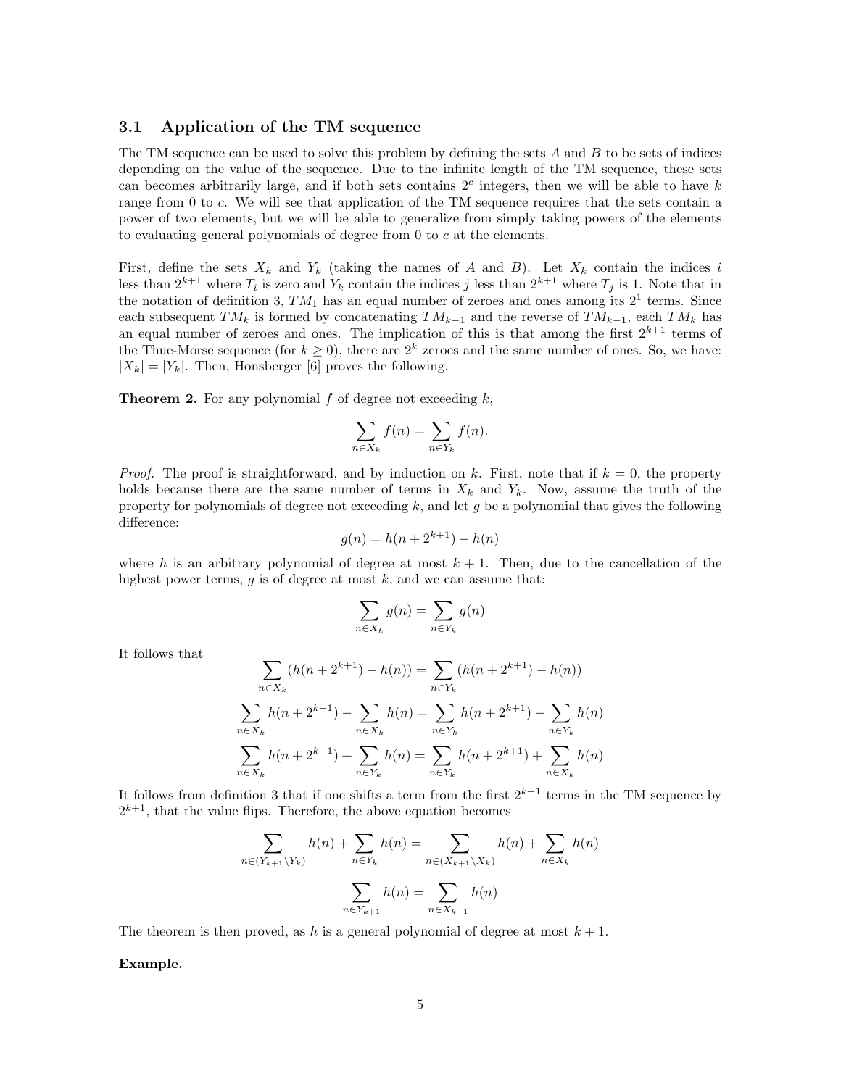#### 3.1 Application of the TM sequence

The TM sequence can be used to solve this problem by defining the sets  $A$  and  $B$  to be sets of indices depending on the value of the sequence. Due to the infinite length of the TM sequence, these sets can becomes arbitrarily large, and if both sets contains  $2<sup>c</sup>$  integers, then we will be able to have k range from 0 to c. We will see that application of the TM sequence requires that the sets contain a power of two elements, but we will be able to generalize from simply taking powers of the elements to evaluating general polynomials of degree from 0 to c at the elements.

First, define the sets  $X_k$  and  $Y_k$  (taking the names of A and B). Let  $X_k$  contain the indices i less than  $2^{k+1}$  where  $T_i$  is zero and  $Y_k$  contain the indices j less than  $2^{k+1}$  where  $T_j$  is 1. Note that in the notation of definition 3,  $TM_1$  has an equal number of zeroes and ones among its  $2^1$  terms. Since each subsequent  $TM_k$  is formed by concatenating  $TM_{k-1}$  and the reverse of  $TM_{k-1}$ , each  $TM_k$  has an equal number of zeroes and ones. The implication of this is that among the first  $2^{k+1}$  terms of the Thue-Morse sequence (for  $k \geq 0$ ), there are  $2^k$  zeroes and the same number of ones. So, we have:  $|X_k| = |Y_k|$ . Then, Honsberger [6] proves the following.

**Theorem 2.** For any polynomial  $f$  of degree not exceeding  $k$ ,

$$
\sum_{n \in X_k} f(n) = \sum_{n \in Y_k} f(n).
$$

*Proof.* The proof is straightforward, and by induction on k. First, note that if  $k = 0$ , the property holds because there are the same number of terms in  $X_k$  and  $Y_k$ . Now, assume the truth of the property for polynomials of degree not exceeding  $k$ , and let  $g$  be a polynomial that gives the following difference:

$$
g(n) = h(n + 2^{k+1}) - h(n)
$$

where h is an arbitrary polynomial of degree at most  $k + 1$ . Then, due to the cancellation of the highest power terms,  $g$  is of degree at most  $k$ , and we can assume that:

$$
\sum_{n \in X_k} g(n) = \sum_{n \in Y_k} g(n)
$$

It follows that

$$
\sum_{n \in X_k} (h(n + 2^{k+1}) - h(n)) = \sum_{n \in Y_k} (h(n + 2^{k+1}) - h(n))
$$
  

$$
\sum_{n \in X_k} h(n + 2^{k+1}) - \sum_{n \in X_k} h(n) = \sum_{n \in Y_k} h(n + 2^{k+1}) - \sum_{n \in Y_k} h(n)
$$
  

$$
\sum_{n \in X_k} h(n + 2^{k+1}) + \sum_{n \in Y_k} h(n) = \sum_{n \in Y_k} h(n + 2^{k+1}) + \sum_{n \in X_k} h(n)
$$

It follows from definition 3 that if one shifts a term from the first  $2^{k+1}$  terms in the TM sequence by  $2^{k+1}$ , that the value flips. Therefore, the above equation becomes

$$
\sum_{n \in (Y_{k+1} \setminus Y_k)} h(n) + \sum_{n \in Y_k} h(n) = \sum_{n \in (X_{k+1} \setminus X_k)} h(n) + \sum_{n \in X_k} h(n)
$$

$$
\sum_{n \in Y_{k+1}} h(n) = \sum_{n \in X_{k+1}} h(n)
$$

The theorem is then proved, as h is a general polynomial of degree at most  $k + 1$ .

Example.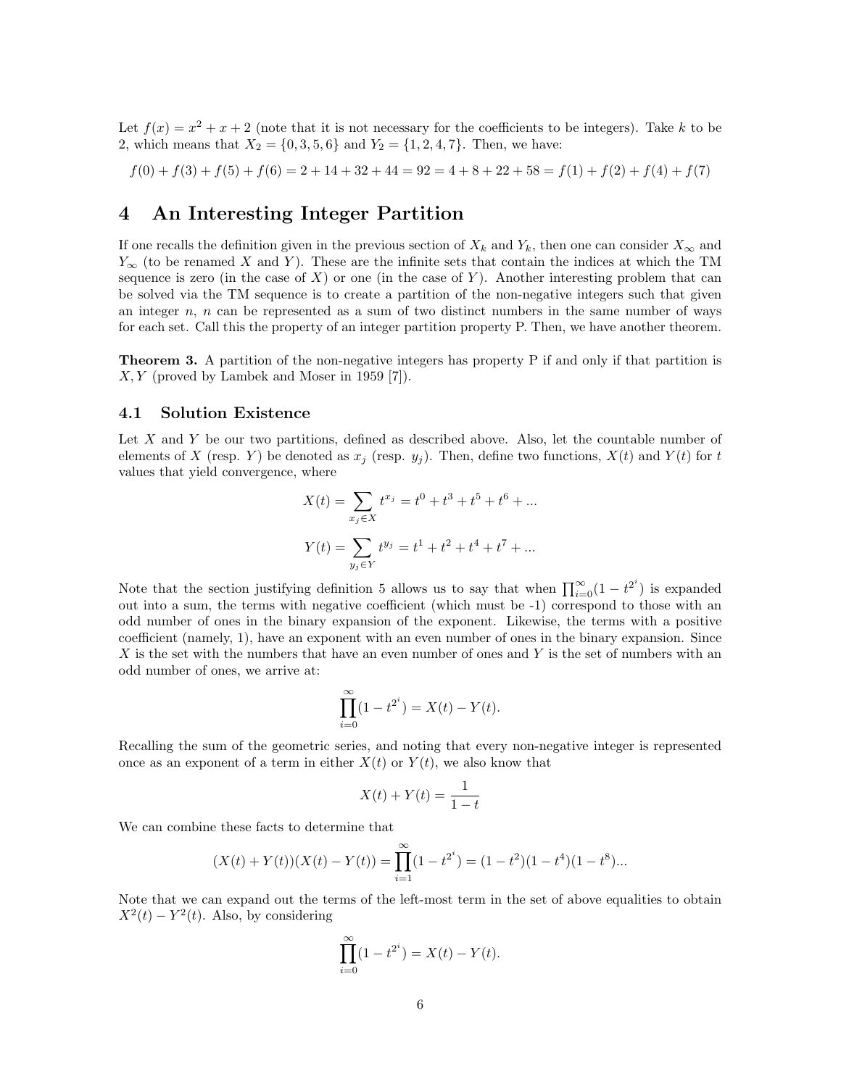Let  $f(x) = x^2 + x + 2$  (note that it is not necessary for the coefficients to be integers). Take k to be 2, which means that  $X_2 = \{0, 3, 5, 6\}$  and  $Y_2 = \{1, 2, 4, 7\}$ . Then, we have:

 $f(0) + f(3) + f(5) + f(6) = 2 + 14 + 32 + 44 = 92 = 4 + 8 + 22 + 58 = f(1) + f(2) + f(4) + f(7)$ 

## 4 An Interesting Integer Partition

If one recalls the definition given in the previous section of  $X_k$  and  $Y_k$ , then one can consider  $X_\infty$  and  $Y_{\infty}$  (to be renamed X and Y). These are the infinite sets that contain the indices at which the TM sequence is zero (in the case of  $X$ ) or one (in the case of Y). Another interesting problem that can be solved via the TM sequence is to create a partition of the non-negative integers such that given an integer  $n$ ,  $n$  can be represented as a sum of two distinct numbers in the same number of ways for each set. Call this the property of an integer partition property P. Then, we have another theorem.

Theorem 3. A partition of the non-negative integers has property P if and only if that partition is  $X, Y$  (proved by Lambek and Moser in 1959 [7]).

#### 4.1 Solution Existence

Let  $X$  and  $Y$  be our two partitions, defined as described above. Also, let the countable number of elements of X (resp. Y) be denoted as  $x_i$  (resp.  $y_i$ ). Then, define two functions,  $X(t)$  and  $Y(t)$  for t values that yield convergence, where

$$
X(t) = \sum_{x_j \in X} t^{x_j} = t^0 + t^3 + t^5 + t^6 + \dots
$$

$$
Y(t) = \sum_{y_j \in Y} t^{y_j} = t^1 + t^2 + t^4 + t^7 + \dots
$$

Note that the section justifying definition 5 allows us to say that when  $\prod_{i=0}^{\infty} (1-t^{2^i})$  is expanded out into a sum, the terms with negative coefficient (which must be -1) correspond to those with an odd number of ones in the binary expansion of the exponent. Likewise, the terms with a positive coefficient (namely, 1), have an exponent with an even number of ones in the binary expansion. Since X is the set with the numbers that have an even number of ones and Y is the set of numbers with an odd number of ones, we arrive at:

$$
\prod_{i=0}^{\infty} (1 - t^{2^i}) = X(t) - Y(t).
$$

Recalling the sum of the geometric series, and noting that every non-negative integer is represented once as an exponent of a term in either  $X(t)$  or  $Y(t)$ , we also know that

$$
X(t) + Y(t) = \frac{1}{1-t}
$$

We can combine these facts to determine that

$$
(X(t) + Y(t))(X(t) - Y(t)) = \prod_{i=1}^{\infty} (1 - t^{2^i}) = (1 - t^2)(1 - t^4)(1 - t^8)...
$$

Note that we can expand out the terms of the left-most term in the set of above equalities to obtain  $X^2(t) - Y^2(t)$ . Also, by considering

$$
\prod_{i=0}^{\infty} (1 - t^{2^i}) = X(t) - Y(t).
$$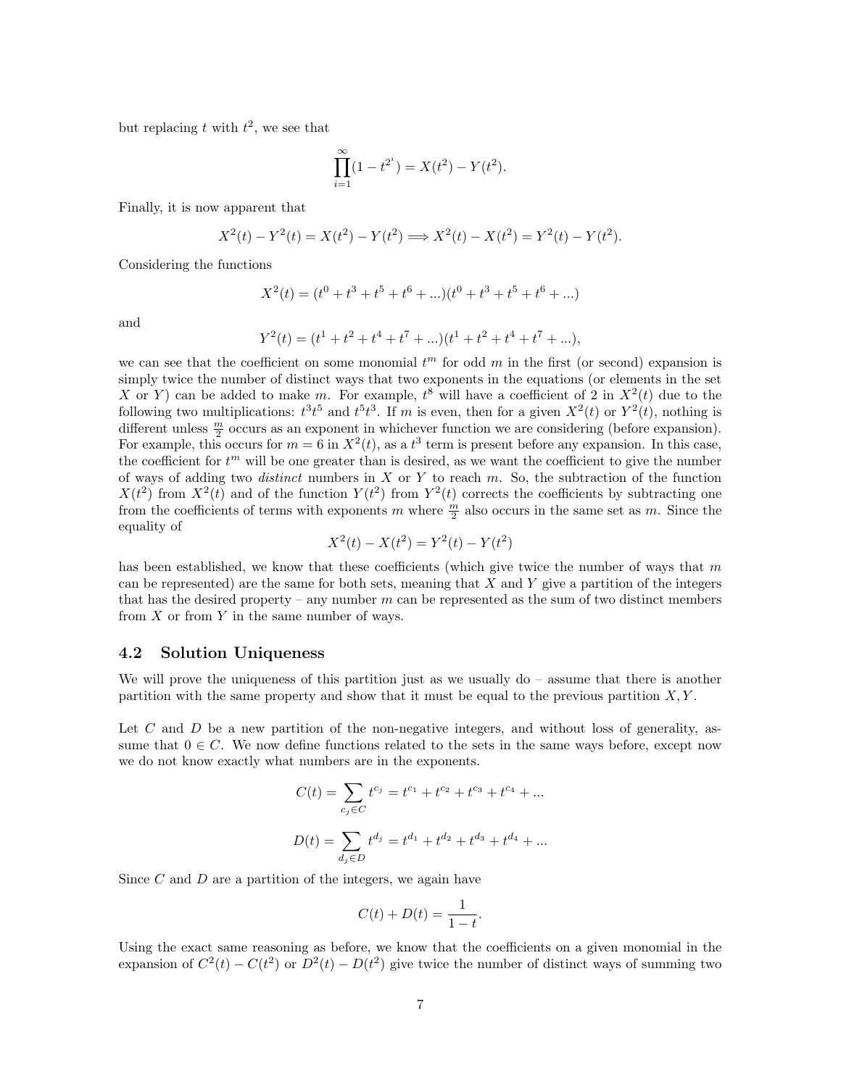but replacing t with  $t^2$ , we see that

$$
\prod_{i=1}^{\infty} (1 - t^{2^i}) = X(t^2) - Y(t^2).
$$

Finally, it is now apparent that

$$
X^{2}(t) - Y^{2}(t) = X(t^{2}) - Y(t^{2}) \Longrightarrow X^{2}(t) - X(t^{2}) = Y^{2}(t) - Y(t^{2}).
$$

Considering the functions

$$
X^{2}(t) = (t^{0} + t^{3} + t^{5} + t^{6} + ...) (t^{0} + t^{3} + t^{5} + t^{6} + ...)
$$

and

$$
Y^{2}(t) = (t^{1} + t^{2} + t^{4} + t^{7} + ...) (t^{1} + t^{2} + t^{4} + t^{7} + ...),
$$

we can see that the coefficient on some monomial  $t<sup>m</sup>$  for odd m in the first (or second) expansion is simply twice the number of distinct ways that two exponents in the equations (or elements in the set X or Y can be added to make m. For example,  $t^8$  will have a coefficient of 2 in  $X^2(t)$  due to the following two multiplications:  $t^3t^5$  and  $t^5t^3$ . If m is even, then for a given  $X^2(t)$  or  $Y^2(t)$ , nothing is different unless  $\frac{m}{2}$  occurs as an exponent in whichever function we are considering (before expansion). For example, this occurs for  $m = 6$  in  $X^2(t)$ , as a  $t^3$  term is present before any expansion. In this case, the coefficient for  $t^m$  will be one greater than is desired, as we want the coefficient to give the number of ways of adding two *distinct* numbers in X or Y to reach  $m$ . So, the subtraction of the function  $X(t^2)$  from  $X^2(t)$  and of the function  $Y(t^2)$  from  $Y^2(t)$  corrects the coefficients by subtracting one from the coefficients of terms with exponents m where  $\frac{m}{2}$  also occurs in the same set as m. Since the equality of

$$
X^{2}(t) - X(t^{2}) = Y^{2}(t) - Y(t^{2})
$$

has been established, we know that these coefficients (which give twice the number of ways that  $m$ can be represented) are the same for both sets, meaning that  $X$  and  $Y$  give a partition of the integers that has the desired property – any number  $m$  can be represented as the sum of two distinct members from  $X$  or from  $Y$  in the same number of ways.

#### 4.2 Solution Uniqueness

We will prove the uniqueness of this partition just as we usually  $d\sigma$  – assume that there is another partition with the same property and show that it must be equal to the previous partition  $X, Y$ .

Let  $C$  and  $D$  be a new partition of the non-negative integers, and without loss of generality, assume that  $0 \in C$ . We now define functions related to the sets in the same ways before, except now we do not know exactly what numbers are in the exponents.

$$
C(t) = \sum_{c_j \in C} t^{c_j} = t^{c_1} + t^{c_2} + t^{c_3} + t^{c_4} + \dots
$$

$$
D(t) = \sum_{d_j \in D} t^{d_j} = t^{d_1} + t^{d_2} + t^{d_3} + t^{d_4} + \dots
$$

Since  $C$  and  $D$  are a partition of the integers, we again have

$$
C(t) + D(t) = \frac{1}{1-t}.
$$

Using the exact same reasoning as before, we know that the coefficients on a given monomial in the expansion of  $C^2(t) - C(t^2)$  or  $D^2(t) - D(t^2)$  give twice the number of distinct ways of summing two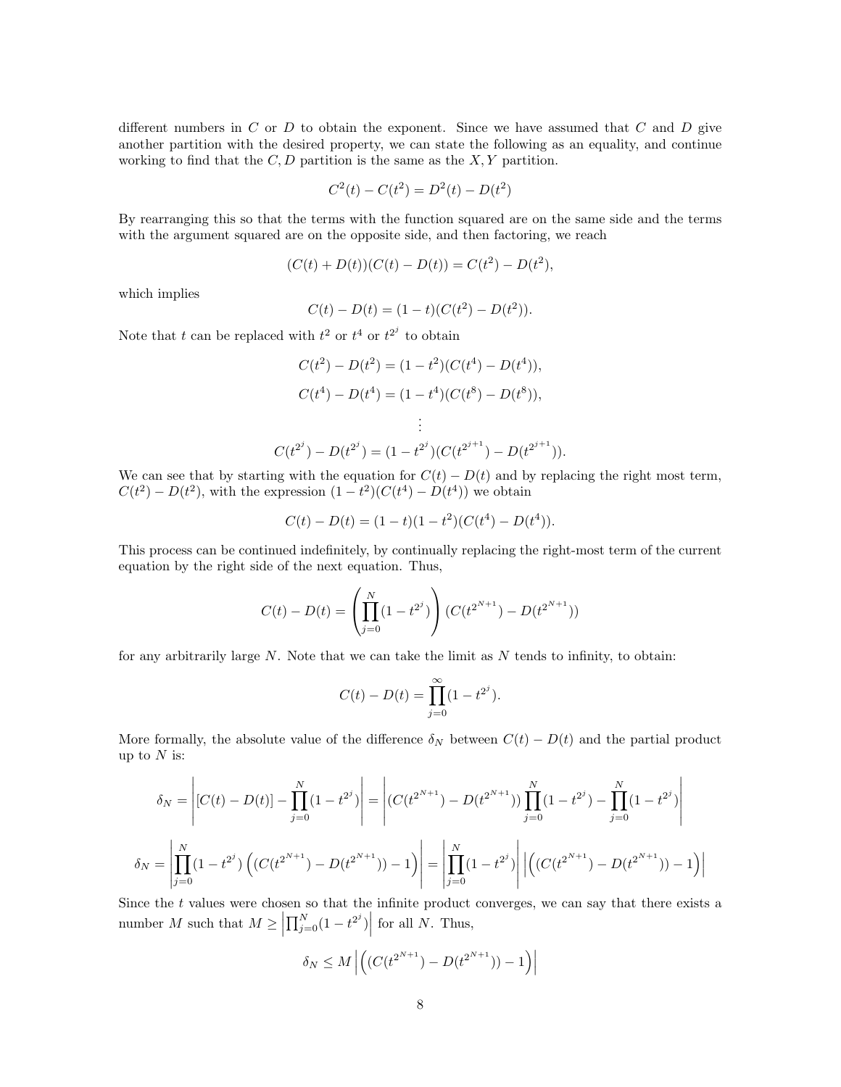different numbers in  $C$  or  $D$  to obtain the exponent. Since we have assumed that  $C$  and  $D$  give another partition with the desired property, we can state the following as an equality, and continue working to find that the  $C, D$  partition is the same as the  $X, Y$  partition.

$$
C^{2}(t) - C(t^{2}) = D^{2}(t) - D(t^{2})
$$

By rearranging this so that the terms with the function squared are on the same side and the terms with the argument squared are on the opposite side, and then factoring, we reach

$$
(C(t) + D(t))(C(t) - D(t)) = C(t2) - D(t2),
$$

which implies

$$
C(t) - D(t) = (1 - t)(C(t2) - D(t2)).
$$

Note that t can be replaced with  $t^2$  or  $t^4$  or  $t^{2j}$  to obtain

$$
C(t^2) - D(t^2) = (1 - t^2)(C(t^4) - D(t^4)),
$$
  
\n
$$
C(t^4) - D(t^4) = (1 - t^4)(C(t^8) - D(t^8)),
$$
  
\n
$$
\vdots
$$
  
\n
$$
C(t^{2^j}) - D(t^{2^j}) = (1 - t^{2^j})(C(t^{2^{j+1}}) - D(t^{2^{j+1}})).
$$

We can see that by starting with the equation for  $C(t) - D(t)$  and by replacing the right most term,  $C(t^2) - D(t^2)$ , with the expression  $(1 - t^2)(C(t^4) - D(t^4))$  we obtain

$$
C(t) - D(t) = (1 - t)(1 - t2)(C(t4) - D(t4)).
$$

This process can be continued indefinitely, by continually replacing the right-most term of the current equation by the right side of the next equation. Thus,

$$
C(t) - D(t) = \left(\prod_{j=0}^{N} (1 - t^{2^j})\right) (C(t^{2^{N+1}}) - D(t^{2^{N+1}}))
$$

for any arbitrarily large  $N$ . Note that we can take the limit as  $N$  tends to infinity, to obtain:

$$
C(t) - D(t) = \prod_{j=0}^{\infty} (1 - t^{2^j}).
$$

More formally, the absolute value of the difference  $\delta_N$  between  $C(t) - D(t)$  and the partial product up to  $N$  is:

$$
\delta_N = \left| [C(t) - D(t)] - \prod_{j=0}^N (1 - t^{2^j}) \right| = \left| (C(t^{2^{N+1}}) - D(t^{2^{N+1}})) \prod_{j=0}^N (1 - t^{2^j}) - \prod_{j=0}^N (1 - t^{2^j}) \right|
$$

$$
\delta_N = \left| \prod_{j=0}^N (1 - t^{2^j}) \left( (C(t^{2^{N+1}}) - D(t^{2^{N+1}})) - 1 \right) \right| = \left| \prod_{j=0}^N (1 - t^{2^j}) \right| \left| \left( (C(t^{2^{N+1}}) - D(t^{2^{N+1}})) - 1 \right) \right|
$$

Since the t values were chosen so that the infinite product converges, we can say that there exists a number M such that  $M \ge \left| \prod_{j=0}^{N} (1 - t^{2^j}) \right|$  for all N. Thus,

$$
\delta_N \leq M \left| \left( (C(t^{2^{N+1}}) - D(t^{2^{N+1}})) - 1 \right) \right|
$$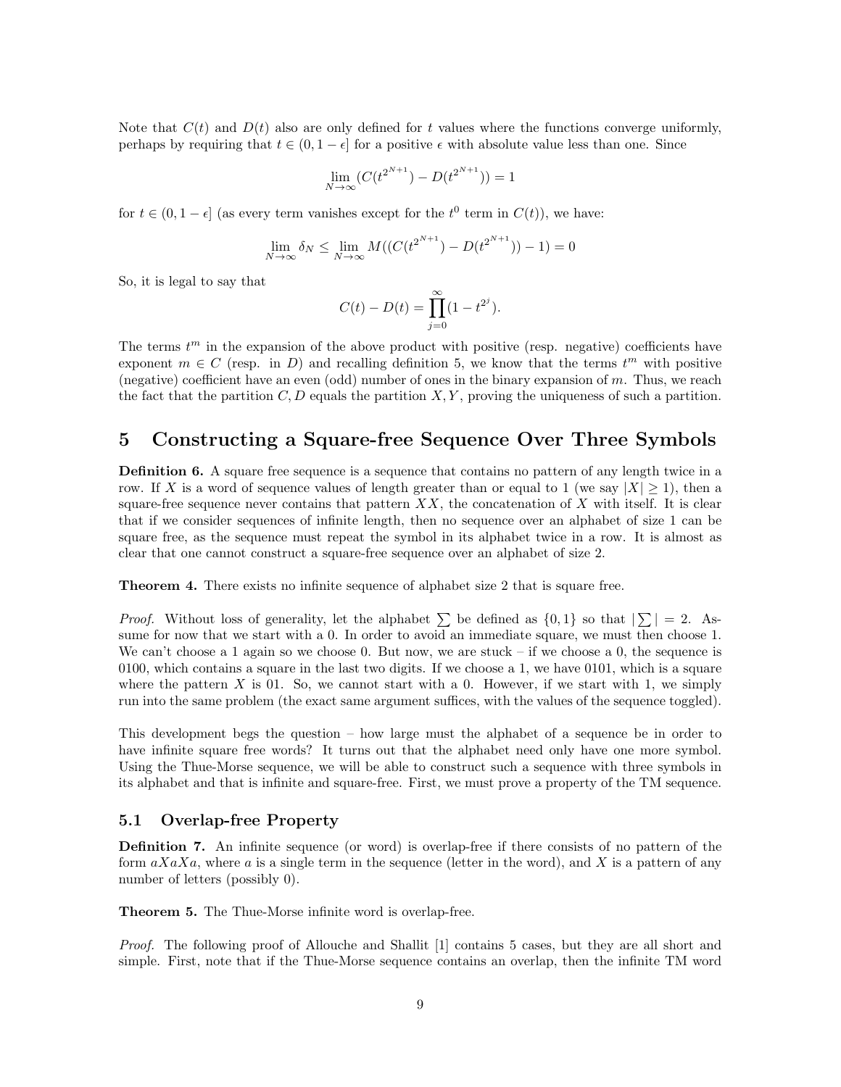Note that  $C(t)$  and  $D(t)$  also are only defined for t values where the functions converge uniformly, perhaps by requiring that  $t \in (0, 1 - \epsilon]$  for a positive  $\epsilon$  with absolute value less than one. Since

$$
\lim_{N \to \infty} (C(t^{2^{N+1}}) - D(t^{2^{N+1}})) = 1
$$

for  $t \in (0, 1 - \epsilon]$  (as every term vanishes except for the  $t^0$  term in  $C(t)$ ), we have:

$$
\lim_{N \to \infty} \delta_N \le \lim_{N \to \infty} M((C(t^{2^{N+1}}) - D(t^{2^{N+1}})) - 1) = 0
$$

So, it is legal to say that

$$
C(t) - D(t) = \prod_{j=0}^{\infty} (1 - t^{2^j}).
$$

The terms  $t^m$  in the expansion of the above product with positive (resp. negative) coefficients have exponent  $m \in C$  (resp. in D) and recalling definition 5, we know that the terms  $t^m$  with positive (negative) coefficient have an even (odd) number of ones in the binary expansion of m. Thus, we reach the fact that the partition  $C, D$  equals the partition  $X, Y$ , proving the uniqueness of such a partition.

## 5 Constructing a Square-free Sequence Over Three Symbols

Definition 6. A square free sequence is a sequence that contains no pattern of any length twice in a row. If X is a word of sequence values of length greater than or equal to 1 (we say  $|X| \ge 1$ ), then a square-free sequence never contains that pattern  $XX$ , the concatenation of X with itself. It is clear that if we consider sequences of infinite length, then no sequence over an alphabet of size 1 can be square free, as the sequence must repeat the symbol in its alphabet twice in a row. It is almost as clear that one cannot construct a square-free sequence over an alphabet of size 2.

Theorem 4. There exists no infinite sequence of alphabet size 2 that is square free.

*Proof.* Without loss of generality, let the alphabet  $\sum$  be defined as  $\{0,1\}$  so that  $|\sum| = 2$ . Assume for now that we start with a 0. In order to avoid an immediate square, we must then choose 1. We can't choose a 1 again so we choose 0. But now, we are stuck – if we choose a 0, the sequence is 0100, which contains a square in the last two digits. If we choose a 1, we have 0101, which is a square where the pattern X is 01. So, we cannot start with a 0. However, if we start with 1, we simply run into the same problem (the exact same argument suffices, with the values of the sequence toggled).

This development begs the question – how large must the alphabet of a sequence be in order to have infinite square free words? It turns out that the alphabet need only have one more symbol. Using the Thue-Morse sequence, we will be able to construct such a sequence with three symbols in its alphabet and that is infinite and square-free. First, we must prove a property of the TM sequence.

#### 5.1 Overlap-free Property

Definition 7. An infinite sequence (or word) is overlap-free if there consists of no pattern of the form  $aXaXa$ , where a is a single term in the sequence (letter in the word), and X is a pattern of any number of letters (possibly 0).

Theorem 5. The Thue-Morse infinite word is overlap-free.

Proof. The following proof of Allouche and Shallit [1] contains 5 cases, but they are all short and simple. First, note that if the Thue-Morse sequence contains an overlap, then the infinite TM word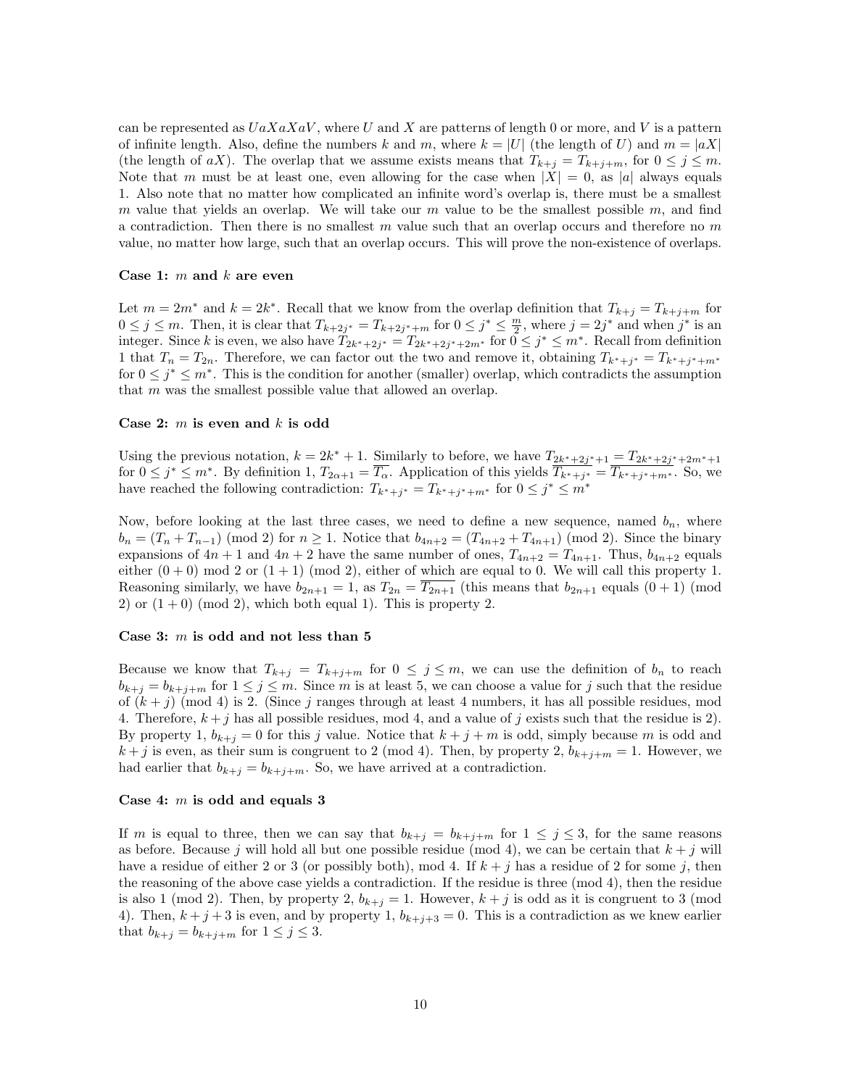can be represented as  $UaXaXaV$ , where U and X are patterns of length 0 or more, and V is a pattern of infinite length. Also, define the numbers k and m, where  $k = |U|$  (the length of U) and  $m = |aX|$ (the length of aX). The overlap that we assume exists means that  $T_{k+j} = T_{k+j+m}$ , for  $0 \leq j \leq m$ . Note that m must be at least one, even allowing for the case when  $|X| = 0$ , as |a| always equals 1. Also note that no matter how complicated an infinite word's overlap is, there must be a smallest m value that yields an overlap. We will take our m value to be the smallest possible m, and find a contradiction. Then there is no smallest  $m$  value such that an overlap occurs and therefore no  $m$ value, no matter how large, such that an overlap occurs. This will prove the non-existence of overlaps.

#### Case 1:  $m$  and  $k$  are even

Let  $m = 2m^*$  and  $k = 2k^*$ . Recall that we know from the overlap definition that  $T_{k+j} = T_{k+j+m}$  for  $0 \leq j \leq m$ . Then, it is clear that  $T_{k+2j^*} = T_{k+2j^*+m}$  for  $0 \leq j^* \leq \frac{m}{2}$ , where  $j = 2j^*$  and when  $j^*$  is an integer. Since k is even, we also have  $T_{2k^*+2j^*} = T_{2k^*+2j^*+2m^*}$  for  $0 \leq j^* \leq m^*$ . Recall from definition 1 that  $T_n = T_{2n}$ . Therefore, we can factor out the two and remove it, obtaining  $T_{k^*+j^*} = T_{k^*+j^*+m^*}$ for  $0 \leq j^* \leq m^*$ . This is the condition for another (smaller) overlap, which contradicts the assumption that m was the smallest possible value that allowed an overlap.

#### Case 2:  $m$  is even and  $k$  is odd

Using the previous notation,  $k = 2k^* + 1$ . Similarly to before, we have  $T_{2k^*+2j^*+1} = T_{2k^*+2j^*+2m^*+1}$ for  $0 \leq j^* \leq m^*$ . By definition 1,  $T_{2\alpha+1} = \overline{T_{\alpha}}$ . Application of this yields  $\overline{T_{k^*+1^*}} = \overline{T_{k^*+1^*+m^*}}$ . So, we have reached the following contradiction:  $T_{k^*+j^*} = T_{k^*+j^*+m^*}$  for  $0 \leq j^* \leq m^*$ 

Now, before looking at the last three cases, we need to define a new sequence, named  $b_n$ , where  $b_n = (T_n + T_{n-1}) \pmod{2}$  for  $n \ge 1$ . Notice that  $b_{4n+2} = (T_{4n+2} + T_{4n+1}) \pmod{2}$ . Since the binary expansions of  $4n + 1$  and  $4n + 2$  have the same number of ones,  $T_{4n+2} = T_{4n+1}$ . Thus,  $b_{4n+2}$  equals either  $(0 + 0)$  mod 2 or  $(1 + 1)$  (mod 2), either of which are equal to 0. We will call this property 1. Reasoning similarly, we have  $b_{2n+1} = 1$ , as  $T_{2n} = \overline{T_{2n+1}}$  (this means that  $b_{2n+1}$  equals  $(0+1)$  (mod 2) or  $(1+0)$  (mod 2), which both equal 1). This is property 2.

#### Case 3:  $m$  is odd and not less than 5

Because we know that  $T_{k+j} = T_{k+j+m}$  for  $0 \leq j \leq m$ , we can use the definition of  $b_n$  to reach  $b_{k+j} = b_{k+j+m}$  for  $1 \leq j \leq m$ . Since m is at least 5, we can choose a value for j such that the residue of  $(k + j)$  (mod 4) is 2. (Since j ranges through at least 4 numbers, it has all possible residues, mod 4. Therefore,  $k + j$  has all possible residues, mod 4, and a value of j exists such that the residue is 2). By property 1,  $b_{k+j} = 0$  for this j value. Notice that  $k+j+m$  is odd, simply because m is odd and  $k + j$  is even, as their sum is congruent to 2 (mod 4). Then, by property 2,  $b_{k+j+m} = 1$ . However, we had earlier that  $b_{k+j} = b_{k+j+m}$ . So, we have arrived at a contradiction.

#### Case 4: m is odd and equals 3

If m is equal to three, then we can say that  $b_{k+j} = b_{k+j+m}$  for  $1 \leq j \leq 3$ , for the same reasons as before. Because j will hold all but one possible residue (mod 4), we can be certain that  $k + j$  will have a residue of either 2 or 3 (or possibly both), mod 4. If  $k + j$  has a residue of 2 for some j, then the reasoning of the above case yields a contradiction. If the residue is three (mod 4), then the residue is also 1 (mod 2). Then, by property 2,  $b_{k+j} = 1$ . However,  $k + j$  is odd as it is congruent to 3 (mod 4). Then,  $k + j + 3$  is even, and by property 1,  $b_{k+j+3} = 0$ . This is a contradiction as we knew earlier that  $b_{k+j} = b_{k+j+m}$  for  $1 \leq j \leq 3$ .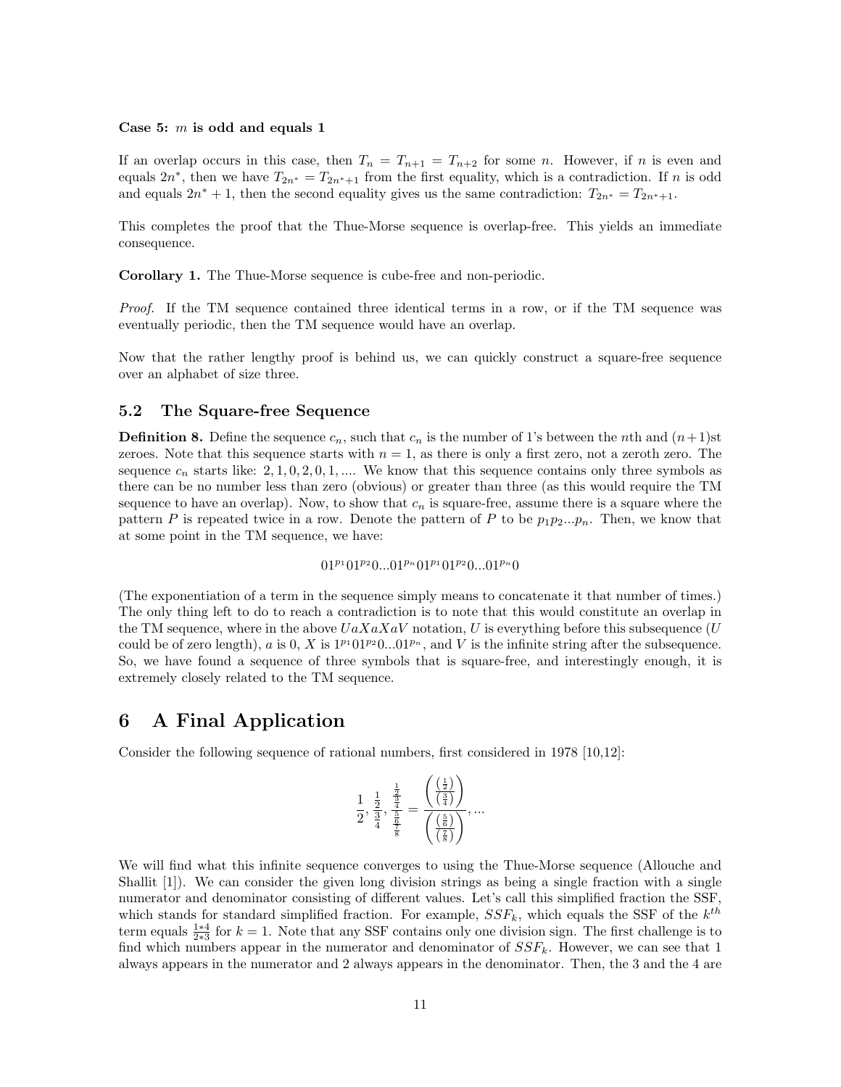#### Case 5:  $m$  is odd and equals 1

If an overlap occurs in this case, then  $T_n = T_{n+1} = T_{n+2}$  for some n. However, if n is even and equals  $2n^*$ , then we have  $T_{2n^*} = T_{2n^*+1}$  from the first equality, which is a contradiction. If n is odd and equals  $2n^* + 1$ , then the second equality gives us the same contradiction:  $T_{2n^*} = T_{2n^*+1}$ .

This completes the proof that the Thue-Morse sequence is overlap-free. This yields an immediate consequence.

Corollary 1. The Thue-Morse sequence is cube-free and non-periodic.

Proof. If the TM sequence contained three identical terms in a row, or if the TM sequence was eventually periodic, then the TM sequence would have an overlap.

Now that the rather lengthy proof is behind us, we can quickly construct a square-free sequence over an alphabet of size three.

#### 5.2 The Square-free Sequence

**Definition 8.** Define the sequence  $c_n$ , such that  $c_n$  is the number of 1's between the nth and  $(n+1)$ st zeroes. Note that this sequence starts with  $n = 1$ , as there is only a first zero, not a zeroth zero. The sequence  $c_n$  starts like: 2, 1, 0, 2, 0, 1, .... We know that this sequence contains only three symbols as there can be no number less than zero (obvious) or greater than three (as this would require the TM sequence to have an overlap). Now, to show that  $c_n$  is square-free, assume there is a square where the pattern P is repeated twice in a row. Denote the pattern of P to be  $p_1p_2...p_n$ . Then, we know that at some point in the TM sequence, we have:

 $01^{p_1}01^{p_2}0...01^{p_n}01^{p_1}01^{p_2}0...01^{p_n}0$ 

(The exponentiation of a term in the sequence simply means to concatenate it that number of times.) The only thing left to do to reach a contradiction is to note that this would constitute an overlap in the TM sequence, where in the above  $UaXaXaV$  notation, U is everything before this subsequence (U could be of zero length), a is  $0$ , X is  $1^{p_1}01^{p_2}0...01^{p_n}$ , and V is the infinite string after the subsequence. So, we have found a sequence of three symbols that is square-free, and interestingly enough, it is extremely closely related to the TM sequence.

## 6 A Final Application

Consider the following sequence of rational numbers, first considered in 1978 [10,12]:

$$
\frac{1}{2}, \frac{\frac{1}{2}}{\frac{3}{4}}, \frac{\frac{1}{2}}{\frac{5}{4}} = \frac{\left(\frac{\left(\frac{1}{2}\right)}{\left(\frac{3}{4}\right)}\right)}{\left(\frac{\left(\frac{5}{4}\right)}{\left(\frac{5}{8}\right)}\right)}, \dots
$$

We will find what this infinite sequence converges to using the Thue-Morse sequence (Allouche and Shallit [1]). We can consider the given long division strings as being a single fraction with a single numerator and denominator consisting of different values. Let's call this simplified fraction the SSF, which stands for standard simplified fraction. For example,  $SSF_k$ , which equals the SSF of the  $k^{th}$ term equals  $\frac{1*4}{2*3}$  for  $k = 1$ . Note that any SSF contains only one division sign. The first challenge is to find which numbers appear in the numerator and denominator of  $SSF_k$ . However, we can see that 1 always appears in the numerator and 2 always appears in the denominator. Then, the 3 and the 4 are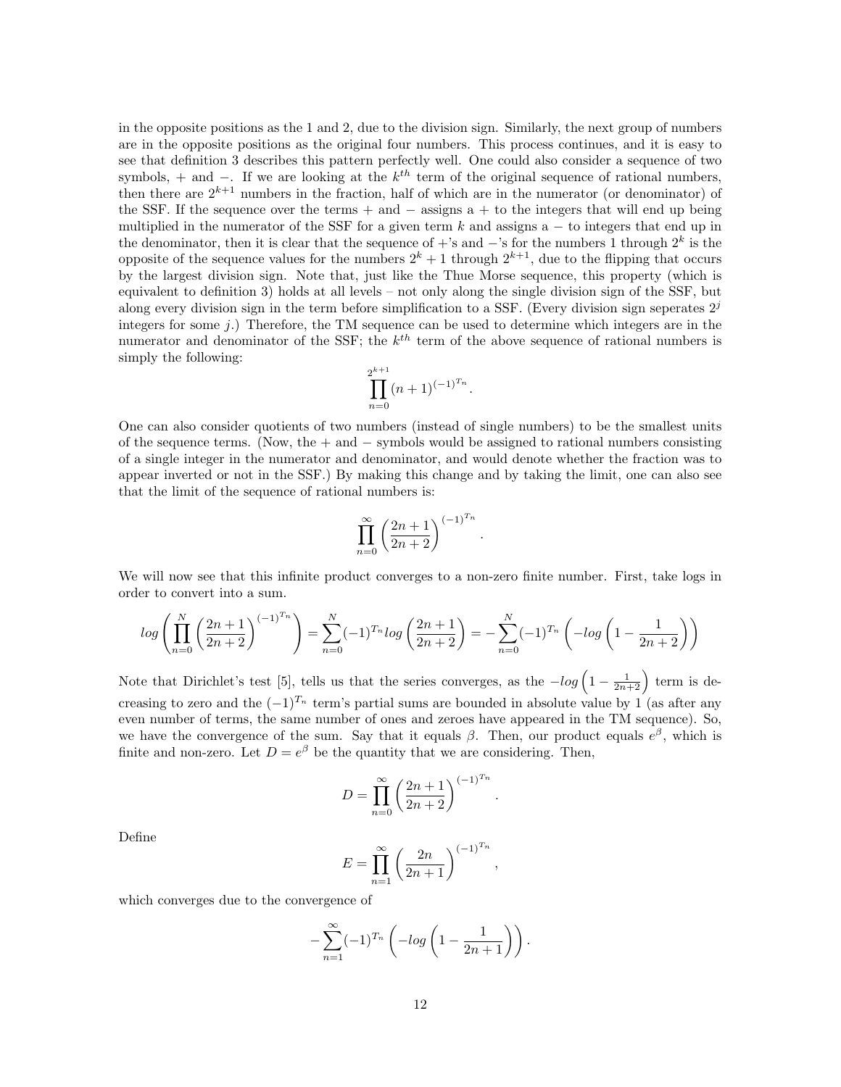in the opposite positions as the 1 and 2, due to the division sign. Similarly, the next group of numbers are in the opposite positions as the original four numbers. This process continues, and it is easy to see that definition 3 describes this pattern perfectly well. One could also consider a sequence of two symbols, + and −. If we are looking at the  $k^{th}$  term of the original sequence of rational numbers, then there are  $2^{k+1}$  numbers in the fraction, half of which are in the numerator (or denominator) of the SSF. If the sequence over the terms + and  $-$  assigns a + to the integers that will end up being multiplied in the numerator of the SSF for a given term  $k$  and assigns a  $-$  to integers that end up in the denominator, then it is clear that the sequence of +'s and  $-$ 's for the numbers 1 through  $2<sup>k</sup>$  is the opposite of the sequence values for the numbers  $2^k + 1$  through  $2^{k+1}$ , due to the flipping that occurs by the largest division sign. Note that, just like the Thue Morse sequence, this property (which is equivalent to definition 3) holds at all levels – not only along the single division sign of the SSF, but along every division sign in the term before simplification to a SSF. (Every division sign seperates  $2<sup>j</sup>$ integers for some  $j$ .) Therefore, the TM sequence can be used to determine which integers are in the numerator and denominator of the SSF; the  $k^{th}$  term of the above sequence of rational numbers is simply the following:

$$
\prod_{n=0}^{2^{k+1}} (n+1)^{(-1)^{T_n}}.
$$

One can also consider quotients of two numbers (instead of single numbers) to be the smallest units of the sequence terms. (Now, the + and − symbols would be assigned to rational numbers consisting of a single integer in the numerator and denominator, and would denote whether the fraction was to appear inverted or not in the SSF.) By making this change and by taking the limit, one can also see that the limit of the sequence of rational numbers is:

$$
\prod_{n=0}^{\infty} \left(\frac{2n+1}{2n+2}\right)^{(-1)^{T_n}}
$$

.

.

,

We will now see that this infinite product converges to a non-zero finite number. First, take logs in order to convert into a sum.

$$
log\left(\prod_{n=0}^{N}\left(\frac{2n+1}{2n+2}\right)^{(-1)^{T_n}}\right) = \sum_{n=0}^{N}(-1)^{T_n}log\left(\frac{2n+1}{2n+2}\right) = -\sum_{n=0}^{N}(-1)^{T_n}\left(-log\left(1-\frac{1}{2n+2}\right)\right)
$$

Note that Dirichlet's test [5], tells us that the series converges, as the  $-log\left(1-\frac{1}{2n+2}\right)$  term is decreasing to zero and the  $(-1)^{T_n}$  term's partial sums are bounded in absolute value by 1 (as after any even number of terms, the same number of ones and zeroes have appeared in the TM sequence). So, we have the convergence of the sum. Say that it equals  $\beta$ . Then, our product equals  $e^{\beta}$ , which is finite and non-zero. Let  $D = e^{\beta}$  be the quantity that we are considering. Then,

$$
D = \prod_{n=0}^{\infty} \left(\frac{2n+1}{2n+2}\right)^{(-1)^{T_n}}
$$

Define

$$
E = \prod_{n=1}^{\infty} \left( \frac{2n}{2n+1} \right)^{(-1)^{T_n}}
$$

which converges due to the convergence of

$$
-\sum_{n=1}^{\infty}(-1)^{T_n}\left(-\log\left(1-\frac{1}{2n+1}\right)\right).
$$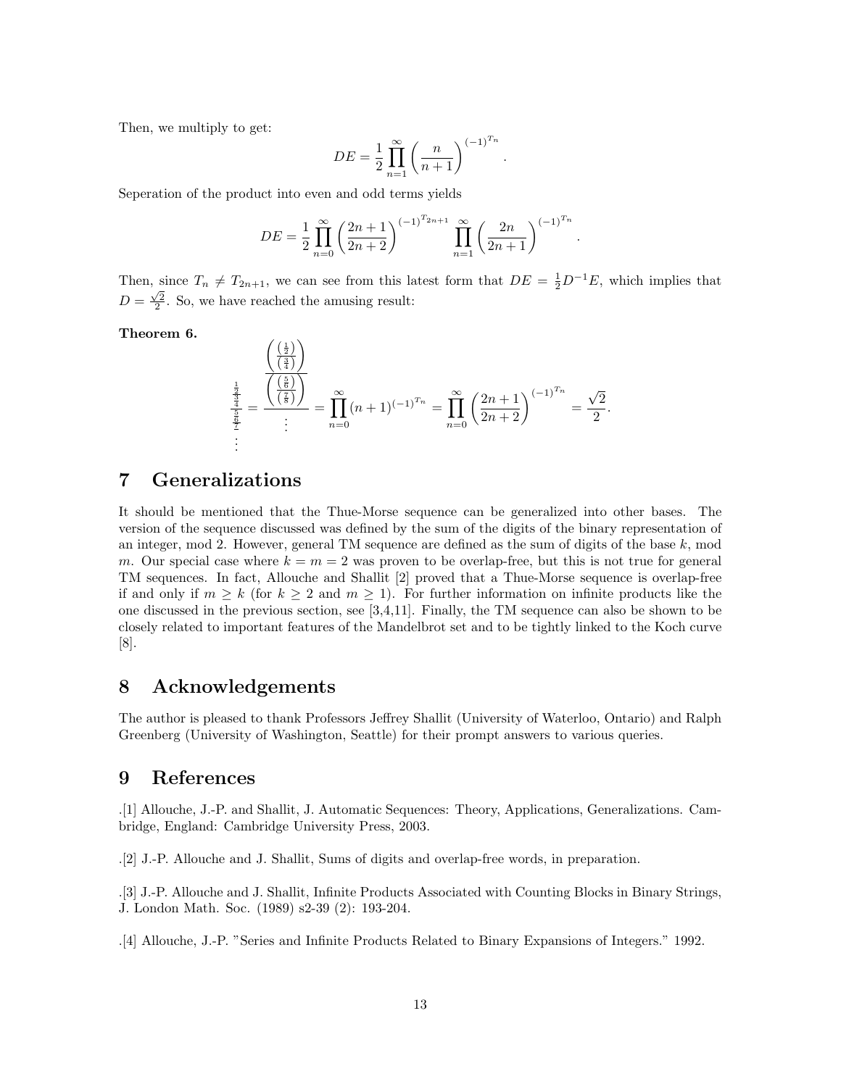Then, we multiply to get:

$$
DE = \frac{1}{2} \prod_{n=1}^{\infty} \left( \frac{n}{n+1} \right)^{(-1)^{T_n}}
$$

.

.

Seperation of the product into even and odd terms yields

$$
DE = \frac{1}{2} \prod_{n=0}^{\infty} \left( \frac{2n+1}{2n+2} \right)^{(-1)^{T_{2n+1}}} \prod_{n=1}^{\infty} \left( \frac{2n}{2n+1} \right)^{(-1)^{T_n}}
$$

Then, since  $T_n \neq T_{2n+1}$ , we can see from this latest form that  $DE = \frac{1}{2}D^{-1}E$ , which implies that  $D = \frac{\sqrt{2}}{2}$ . So, we have reached the amusing result:

Theorem 6.

$$
\frac{\frac{\left(\frac{1}{2}\right)}{\left(\frac{3}{4}\right)}}{\frac{\frac{1}{2}}{\frac{2}{2}}} = \frac{\frac{\left(\frac{5}{8}\right)}{\left(\frac{7}{8}\right)}}{\frac{1}{2}} = \prod_{n=0}^{\infty} (n+1)^{(-1)^{T_n}} = \prod_{n=0}^{\infty} \left(\frac{2n+1}{2n+2}\right)^{(-1)^{T_n}} = \frac{\sqrt{2}}{2}.
$$

## 7 Generalizations

It should be mentioned that the Thue-Morse sequence can be generalized into other bases. The version of the sequence discussed was defined by the sum of the digits of the binary representation of an integer, mod 2. However, general TM sequence are defined as the sum of digits of the base  $k$ , mod m. Our special case where  $k = m = 2$  was proven to be overlap-free, but this is not true for general TM sequences. In fact, Allouche and Shallit [2] proved that a Thue-Morse sequence is overlap-free if and only if  $m \geq k$  (for  $k \geq 2$  and  $m \geq 1$ ). For further information on infinite products like the one discussed in the previous section, see [3,4,11]. Finally, the TM sequence can also be shown to be closely related to important features of the Mandelbrot set and to be tightly linked to the Koch curve [8].

## 8 Acknowledgements

The author is pleased to thank Professors Jeffrey Shallit (University of Waterloo, Ontario) and Ralph Greenberg (University of Washington, Seattle) for their prompt answers to various queries.

## 9 References

.[1] Allouche, J.-P. and Shallit, J. Automatic Sequences: Theory, Applications, Generalizations. Cambridge, England: Cambridge University Press, 2003.

.[2] J.-P. Allouche and J. Shallit, Sums of digits and overlap-free words, in preparation.

.[3] J.-P. Allouche and J. Shallit, Infinite Products Associated with Counting Blocks in Binary Strings, J. London Math. Soc. (1989) s2-39 (2): 193-204.

.[4] Allouche, J.-P. "Series and Infinite Products Related to Binary Expansions of Integers." 1992.